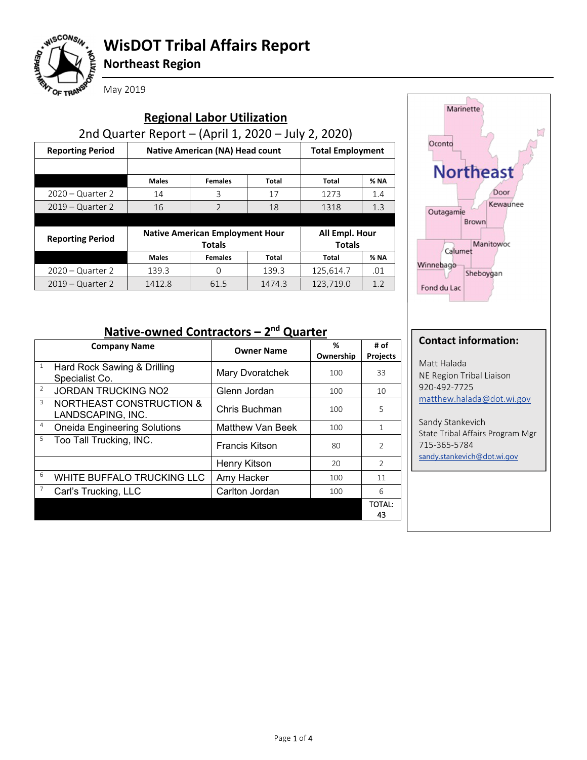

# **WisDOT Tribal Affairs Report**

**Northeast Region**

| <b>Regional Labor Utilization</b>                   |                                                         |                         |        |                                 |             |  |
|-----------------------------------------------------|---------------------------------------------------------|-------------------------|--------|---------------------------------|-------------|--|
| 2nd Quarter Report - (April 1, 2020 - July 2, 2020) |                                                         |                         |        |                                 |             |  |
| <b>Reporting Period</b>                             | <b>Native American (NA) Head count</b>                  | <b>Total Employment</b> |        |                                 |             |  |
|                                                     |                                                         |                         |        |                                 |             |  |
|                                                     | <b>Males</b>                                            | <b>Females</b>          | Total  | Total                           | <b>% NA</b> |  |
| $2020 -$ Quarter 2                                  | 14                                                      | 3                       | 17     | 1273                            | 1.4         |  |
| $2019 -$ Quarter 2                                  | $\mathfrak{D}$<br>16                                    |                         | 18     | 1318                            | 1.3         |  |
|                                                     |                                                         |                         |        |                                 |             |  |
| <b>Reporting Period</b>                             | <b>Native American Employment Hour</b><br><b>Totals</b> |                         |        | All Empl. Hour<br><b>Totals</b> |             |  |
|                                                     | <b>Males</b>                                            | <b>Females</b>          | Total  | Total                           | <b>% NA</b> |  |
| $2020 -$ Quarter 2                                  | 139.3                                                   | 0                       | 139.3  | 125,614.7                       | .01         |  |
| $2019 -$ Quarter 2                                  | 1412.8                                                  | 61.5                    | 1474.3 | 123,719.0                       | 1.2         |  |



### **Native-owned Contractors – 2nd Quarter**

| <b>Company Name</b> |                                                          |                         | %         | # of            |
|---------------------|----------------------------------------------------------|-------------------------|-----------|-----------------|
|                     |                                                          | <b>Owner Name</b>       | Ownership | <b>Projects</b> |
| $\mathbf{1}$        | Hard Rock Sawing & Drilling<br>Specialist Co.            | Mary Dvoratchek         | 100       | 33              |
| $\overline{2}$      | <b>JORDAN TRUCKING NO2</b>                               | Glenn Jordan            | 100       | 10              |
| 3                   | <b>NORTHEAST CONSTRUCTION &amp;</b><br>LANDSCAPING, INC. | Chris Buchman           | 100       | 5               |
| $\overline{4}$      | <b>Oneida Engineering Solutions</b>                      | <b>Matthew Van Beek</b> | 100       | $\mathbf{1}$    |
| 5                   | Too Tall Trucking, INC.                                  | <b>Francis Kitson</b>   | 80        | $\overline{2}$  |
|                     |                                                          | Henry Kitson            | 20        | $\mathcal{P}$   |
| 6                   | WHITE BUFFALO TRUCKING LLC                               | Amy Hacker              | 100       | 11              |
| 7                   | Carl's Trucking, LLC                                     | Carlton Jordan          | 100       | 6               |
|                     |                                                          |                         |           | TOTAL:<br>43    |

#### **Contact information:**

Matt Halada NE Region Tribal Liaison 920-492-7725 matthew.halada@dot.wi.gov

Sandy Stankevich State Tribal Affairs Program Mgr 715-365-5784 sandy.stankevich@dot.wi.gov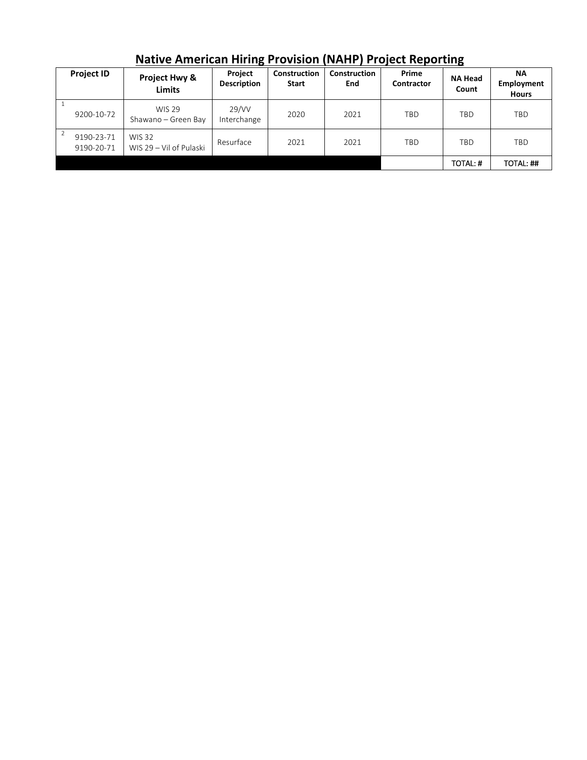| . |                          |                                          |                               |                              |                            | --------                   |                  |                                         |
|---|--------------------------|------------------------------------------|-------------------------------|------------------------------|----------------------------|----------------------------|------------------|-----------------------------------------|
|   | <b>Project ID</b>        | Project Hwy &<br><b>Limits</b>           | Project<br><b>Description</b> | Construction<br><b>Start</b> | <b>Construction</b><br>End | Prime<br><b>Contractor</b> | NA Head<br>Count | <b>NA</b><br>Employment<br><b>Hours</b> |
|   | 9200-10-72               | <b>WIS 29</b><br>Shawano - Green Bay     | 29/VV<br>Interchange          | 2020                         | 2021                       | TBD                        | TBD              | TBD                                     |
|   | 9190-23-71<br>9190-20-71 | <b>WIS 32</b><br>WIS 29 - Vil of Pulaski | Resurface                     | 2021                         | 2021                       | TBD                        | TBD              | <b>TBD</b>                              |
|   |                          |                                          |                               |                              |                            |                            | TOTAL: #         | TOTAL: ##                               |

**Native American Hiring Provision (NAHP) Project Reporting**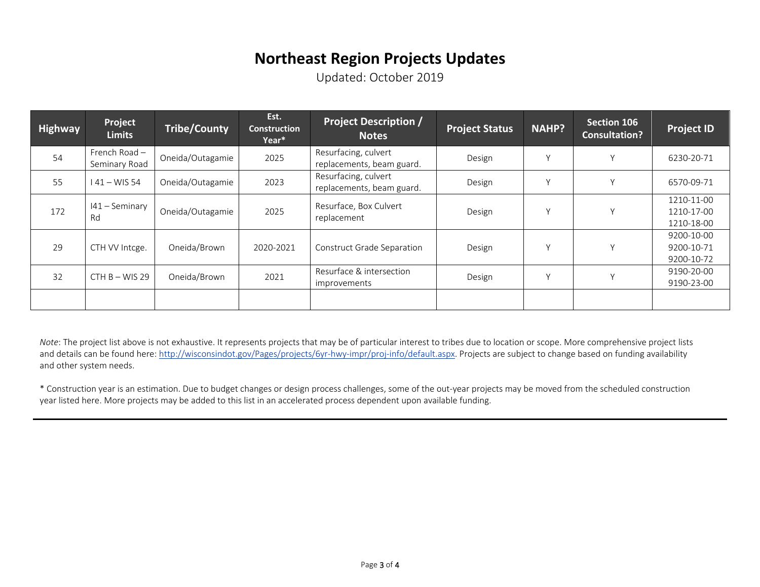## **Northeast Region Projects Updates**

Updated: October 2019

| Highway | Project<br><b>Limits</b>         | <b>Tribe/County</b> | Est.<br><b>Construction</b><br>Year* | <b>Project Description /</b><br><b>Notes</b>      | <b>Project Status</b> | <b>NAHP?</b> | <b>Section 106</b><br><b>Consultation?</b> | <b>Project ID</b>                      |
|---------|----------------------------------|---------------------|--------------------------------------|---------------------------------------------------|-----------------------|--------------|--------------------------------------------|----------------------------------------|
| 54      | French Road $-$<br>Seminary Road | Oneida/Outagamie    | 2025                                 | Resurfacing, culvert<br>replacements, beam guard. | Design                | $\sqrt{ }$   | Υ                                          | 6230-20-71                             |
| 55      | $41 - WIS 54$                    | Oneida/Outagamie    | 2023                                 | Resurfacing, culvert<br>replacements, beam guard. | Design                | $\vee$       | Y                                          | 6570-09-71                             |
| 172     | $141 -$ Seminary<br>Rd           | Oneida/Outagamie    | 2025                                 | Resurface, Box Culvert<br>replacement             | Design                | $\checkmark$ | Y                                          | 1210-11-00<br>1210-17-00<br>1210-18-00 |
| 29      | CTH VV Intcge.                   | Oneida/Brown        | 2020-2021                            | Construct Grade Separation                        | Design                | $\vee$       | Y                                          | 9200-10-00<br>9200-10-71<br>9200-10-72 |
| 32      | $CHB-WIS29$                      | Oneida/Brown        | 2021                                 | Resurface & intersection<br>improvements          | Design                | $\vee$       | Y                                          | 9190-20-00<br>9190-23-00               |
|         |                                  |                     |                                      |                                                   |                       |              |                                            |                                        |

*Note*: The project list above is not exhaustive. It represents projects that may be of particular interest to tribes due to location or scope. More comprehensive project lists and details can be found here: http://wisconsindot.gov/Pages/projects/6yr-hwy-impr/proj-info/default.aspx. Projects are subject to change based on funding availability and other system needs.

\* Construction year is an estimation. Due to budget changes or design process challenges, some of the out-year projects may be moved from the scheduled construction year listed here. More projects may be added to this list in an accelerated process dependent upon available funding.